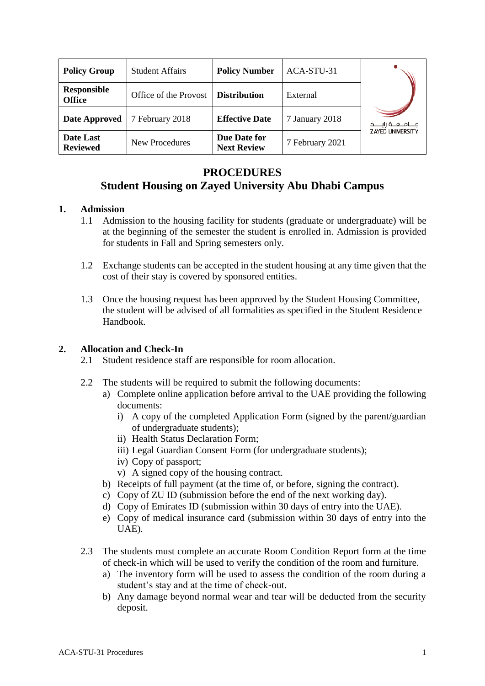| <b>Policy Group</b>                 | <b>Student Affairs</b> | <b>Policy Number</b>               | ACA-STU-31      |                           |
|-------------------------------------|------------------------|------------------------------------|-----------------|---------------------------|
| <b>Responsible</b><br><b>Office</b> | Office of the Provost  | <b>Distribution</b>                | External        |                           |
| Date Approved                       | 7 February 2018        | <b>Effective Date</b>              | 7 January 2018  | مــــامـــعـــة زايـــــد |
| <b>Date Last</b><br><b>Reviewed</b> | <b>New Procedures</b>  | Due Date for<br><b>Next Review</b> | 7 February 2021 | <b>ZAYED UNIVERSITY</b>   |

# **PROCEDURES**

## **Student Housing on Zayed University Abu Dhabi Campus**

## **1. Admission**

- 1.1 Admission to the housing facility for students (graduate or undergraduate) will be at the beginning of the semester the student is enrolled in. Admission is provided for students in Fall and Spring semesters only.
- 1.2 Exchange students can be accepted in the student housing at any time given that the cost of their stay is covered by sponsored entities.
- 1.3 Once the housing request has been approved by the Student Housing Committee, the student will be advised of all formalities as specified in the Student Residence Handbook.

## **2. Allocation and Check-In**

- 2.1 Student residence staff are responsible for room allocation.
- 2.2 The students will be required to submit the following documents:
	- a) Complete online application before arrival to the UAE providing the following documents:
		- i) A copy of the completed Application Form (signed by the parent/guardian of undergraduate students);
		- ii) Health Status Declaration Form;
		- iii) Legal Guardian Consent Form (for undergraduate students);
		- iv) Copy of passport;
		- v) A signed copy of the housing contract.
	- b) Receipts of full payment (at the time of, or before, signing the contract).
	- c) Copy of ZU ID (submission before the end of the next working day).
	- d) Copy of Emirates ID (submission within 30 days of entry into the UAE).
	- e) Copy of medical insurance card (submission within 30 days of entry into the UAE).
- 2.3 The students must complete an accurate Room Condition Report form at the time of check-in which will be used to verify the condition of the room and furniture.
	- a) The inventory form will be used to assess the condition of the room during a student's stay and at the time of check-out.
	- b) Any damage beyond normal wear and tear will be deducted from the security deposit.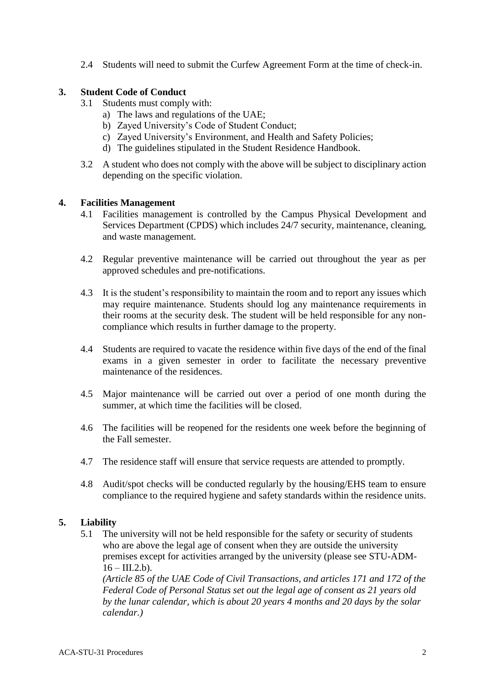2.4 Students will need to submit the Curfew Agreement Form at the time of check-in.

### **3. Student Code of Conduct**

- 3.1 Students must comply with:
	- a) The laws and regulations of the UAE;
	- b) Zayed University's Code of Student Conduct;
	- c) Zayed University's Environment, and Health and Safety Policies;
	- d) The guidelines stipulated in the Student Residence Handbook.
- 3.2 A student who does not comply with the above will be subject to disciplinary action depending on the specific violation.

#### **4. Facilities Management**

- 4.1 Facilities management is controlled by the Campus Physical Development and Services Department (CPDS) which includes 24/7 security, maintenance, cleaning, and waste management.
- 4.2 Regular preventive maintenance will be carried out throughout the year as per approved schedules and pre-notifications.
- 4.3 It is the student's responsibility to maintain the room and to report any issues which may require maintenance. Students should log any maintenance requirements in their rooms at the security desk. The student will be held responsible for any noncompliance which results in further damage to the property.
- 4.4 Students are required to vacate the residence within five days of the end of the final exams in a given semester in order to facilitate the necessary preventive maintenance of the residences.
- 4.5 Major maintenance will be carried out over a period of one month during the summer, at which time the facilities will be closed.
- 4.6 The facilities will be reopened for the residents one week before the beginning of the Fall semester.
- 4.7 The residence staff will ensure that service requests are attended to promptly.
- 4.8 Audit/spot checks will be conducted regularly by the housing/EHS team to ensure compliance to the required hygiene and safety standards within the residence units.

## **5. Liability**

5.1 The university will not be held responsible for the safety or security of students who are above the legal age of consent when they are outside the university premises except for activities arranged by the university (please see STU-ADM- $16 - \text{III.2.b.}$ 

*(Article 85 of the UAE Code of Civil Transactions, and articles 171 and 172 of the Federal Code of Personal Status set out the legal age of consent as 21 years old by the lunar calendar, which is about 20 years 4 months and 20 days by the solar calendar.)*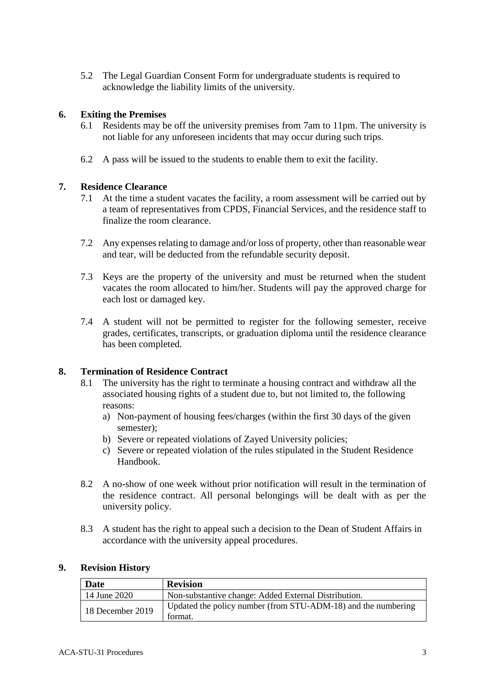5.2 The Legal Guardian Consent Form for undergraduate students is required to acknowledge the liability limits of the university.

### **6. Exiting the Premises**

- 6.1 Residents may be off the university premises from 7am to 11pm. The university is not liable for any unforeseen incidents that may occur during such trips.
- 6.2 A pass will be issued to the students to enable them to exit the facility.

#### **7. Residence Clearance**

- 7.1 At the time a student vacates the facility, a room assessment will be carried out by a team of representatives from CPDS, Financial Services, and the residence staff to finalize the room clearance.
- 7.2 Any expenses relating to damage and/or loss of property, other than reasonable wear and tear, will be deducted from the refundable security deposit.
- 7.3 Keys are the property of the university and must be returned when the student vacates the room allocated to him/her. Students will pay the approved charge for each lost or damaged key.
- 7.4 A student will not be permitted to register for the following semester, receive grades, certificates, transcripts, or graduation diploma until the residence clearance has been completed.

#### **8. Termination of Residence Contract**

- 8.1 The university has the right to terminate a housing contract and withdraw all the associated housing rights of a student due to, but not limited to, the following reasons:
	- a) Non-payment of housing fees/charges (within the first 30 days of the given semester);
	- b) Severe or repeated violations of Zayed University policies;
	- c) Severe or repeated violation of the rules stipulated in the Student Residence Handbook.
- 8.2 A no-show of one week without prior notification will result in the termination of the residence contract. All personal belongings will be dealt with as per the university policy.
- 8.3 A student has the right to appeal such a decision to the Dean of Student Affairs in accordance with the university appeal procedures.

#### **9. Revision History**

| <b>Date</b>      | <b>Revision</b>                                                          |  |
|------------------|--------------------------------------------------------------------------|--|
| 14 June 2020     | Non-substantive change: Added External Distribution.                     |  |
| 18 December 2019 | Updated the policy number (from STU-ADM-18) and the numbering<br>format. |  |